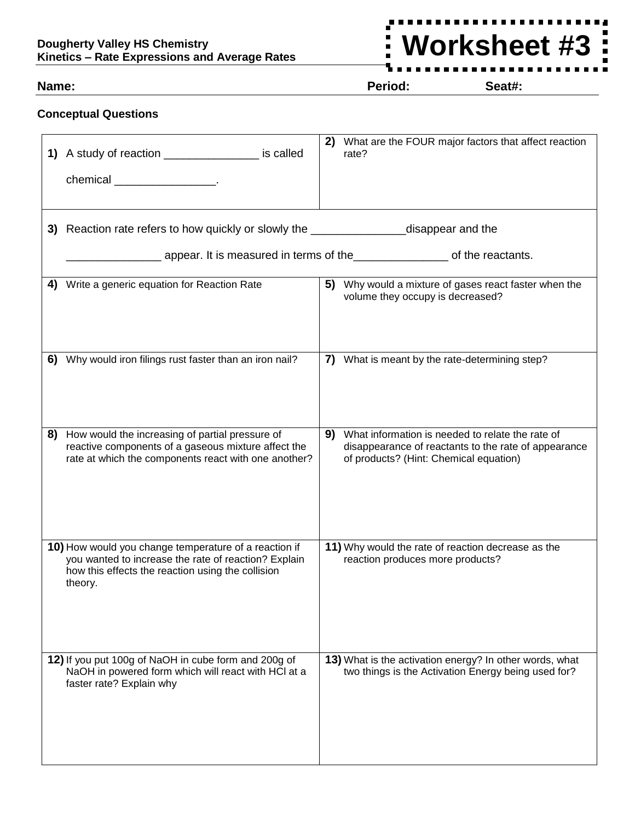# **Dougherty Valley HS Chemistry Kinetics – Rate Expressions and Average Rates**

# **Worksheet #3** $\ddot{ }$

**Name: Period: Seat#:**

# **Conceptual Questions**

|    | 1) A study of reaction __________________ is called<br>chemical ________________________.                                                                                     | 2) | What are the FOUR major factors that affect reaction<br>rate?                                                                                      |
|----|-------------------------------------------------------------------------------------------------------------------------------------------------------------------------------|----|----------------------------------------------------------------------------------------------------------------------------------------------------|
|    | 3) Reaction rate refers to how quickly or slowly the ______________________disappear and the                                                                                  |    |                                                                                                                                                    |
|    | appear. It is measured in terms of the <u>entitled</u> and the reactants.                                                                                                     |    |                                                                                                                                                    |
| 4) | Write a generic equation for Reaction Rate                                                                                                                                    |    | 5) Why would a mixture of gases react faster when the<br>volume they occupy is decreased?                                                          |
| 6) | Why would iron filings rust faster than an iron nail?                                                                                                                         |    | 7) What is meant by the rate-determining step?                                                                                                     |
| 8) | How would the increasing of partial pressure of<br>reactive components of a gaseous mixture affect the<br>rate at which the components react with one another?                | 9) | What information is needed to relate the rate of<br>disappearance of reactants to the rate of appearance<br>of products? (Hint: Chemical equation) |
|    | 10) How would you change temperature of a reaction if<br>you wanted to increase the rate of reaction? Explain<br>how this effects the reaction using the collision<br>theory. |    | 11) Why would the rate of reaction decrease as the<br>reaction produces more products?                                                             |
|    | 12) If you put 100g of NaOH in cube form and 200g of<br>NaOH in powered form which will react with HCl at a<br>faster rate? Explain why                                       |    | 13) What is the activation energy? In other words, what<br>two things is the Activation Energy being used for?                                     |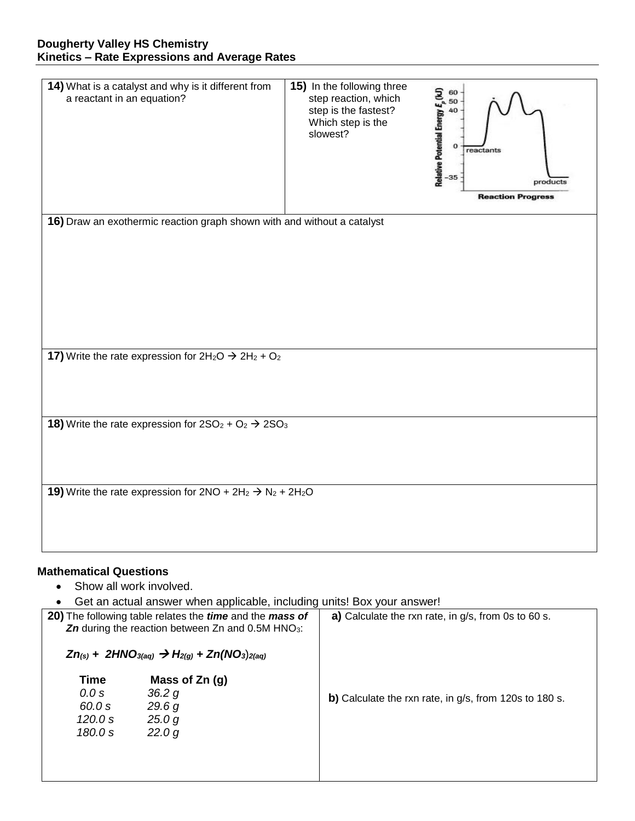| 14) What is a catalyst and why is it different from<br>a reactant in an equation? | 15) In the following three<br>step reaction, which<br>step is the fastest?<br>Which step is the<br>slowest? | Relative Potential Energy $\epsilon_p$ (kJ)<br>$\frac{1}{36}$ exercise E exercise<br>reactants<br>products<br><b>Reaction Progress</b> |  |  |  |  |
|-----------------------------------------------------------------------------------|-------------------------------------------------------------------------------------------------------------|----------------------------------------------------------------------------------------------------------------------------------------|--|--|--|--|
| 16) Draw an exothermic reaction graph shown with and without a catalyst           |                                                                                                             |                                                                                                                                        |  |  |  |  |
|                                                                                   |                                                                                                             |                                                                                                                                        |  |  |  |  |
|                                                                                   |                                                                                                             |                                                                                                                                        |  |  |  |  |
|                                                                                   |                                                                                                             |                                                                                                                                        |  |  |  |  |
|                                                                                   |                                                                                                             |                                                                                                                                        |  |  |  |  |
|                                                                                   |                                                                                                             |                                                                                                                                        |  |  |  |  |
|                                                                                   |                                                                                                             |                                                                                                                                        |  |  |  |  |
|                                                                                   |                                                                                                             |                                                                                                                                        |  |  |  |  |
| 17) Write the rate expression for $2H_2O \rightarrow 2H_2 + O_2$                  |                                                                                                             |                                                                                                                                        |  |  |  |  |
|                                                                                   |                                                                                                             |                                                                                                                                        |  |  |  |  |
|                                                                                   |                                                                                                             |                                                                                                                                        |  |  |  |  |
| <b>18)</b> Write the rate expression for $2SO_2 + O_2 \rightarrow 2SO_3$          |                                                                                                             |                                                                                                                                        |  |  |  |  |
|                                                                                   |                                                                                                             |                                                                                                                                        |  |  |  |  |
|                                                                                   |                                                                                                             |                                                                                                                                        |  |  |  |  |
|                                                                                   |                                                                                                             |                                                                                                                                        |  |  |  |  |
| 19) Write the rate expression for $2NO + 2H_2 \rightarrow N_2 + 2H_2O$            |                                                                                                             |                                                                                                                                        |  |  |  |  |
|                                                                                   |                                                                                                             |                                                                                                                                        |  |  |  |  |
|                                                                                   |                                                                                                             |                                                                                                                                        |  |  |  |  |
|                                                                                   |                                                                                                             |                                                                                                                                        |  |  |  |  |

# **Mathematical Questions**

- Show all work involved.
- Get an actual answer when applicable, including units! Box your answer!

| <b>20)</b> The following table relates the <i>time</i> and the <i>mass</i> of<br><b>Zn</b> during the reaction between Zn and $0.5M$ HNO <sub>3</sub> :<br>$Zn_{(s)}$ + 2HNO <sub>3(aq)</sub> $\rightarrow$ H <sub>2(g)</sub> + Zn(NO <sub>3</sub> ) <sub>2(aq)</sub> | <b>a)</b> Calculate the rxn rate, in g/s, from 0s to 60 s. |  |  |
|-----------------------------------------------------------------------------------------------------------------------------------------------------------------------------------------------------------------------------------------------------------------------|------------------------------------------------------------|--|--|
| Time<br>Mass of $Zn$ (g)<br>0.0 s<br>36.2 g<br>60.0 s<br>29.6 g<br>25.0 g<br>120.0 s<br>22.0 g<br>180.0 s                                                                                                                                                             | b) Calculate the rxn rate, in g/s, from 120s to 180 s.     |  |  |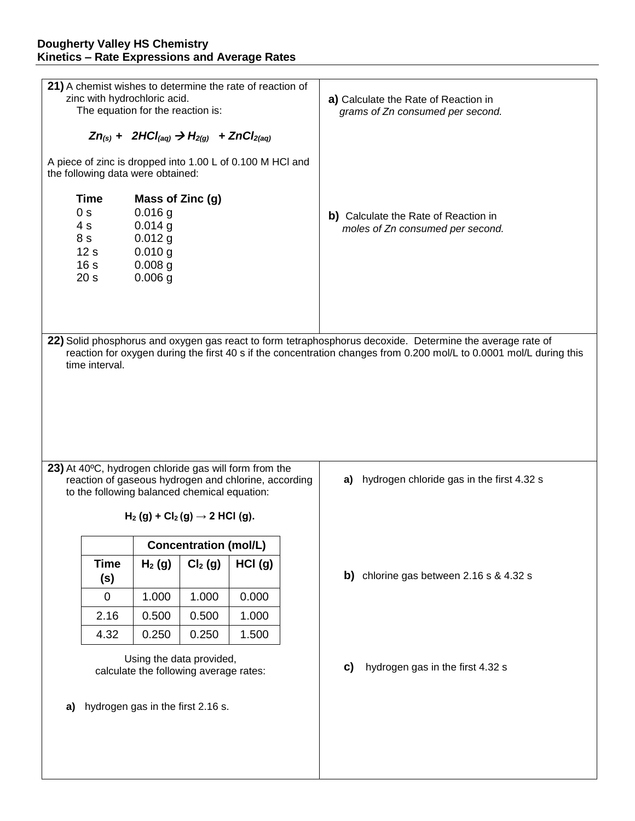### **Dougherty Valley HS Chemistry Kinetics – Rate Expressions and Average Rates**

| 21) A chemist wishes to determine the rate of reaction of<br>zinc with hydrochloric acid.<br>The equation for the reaction is:<br>$Zn_{(s)}$ + 2HCl <sub>(aq)</sub> $\rightarrow$ H <sub>2(g)</sub> + ZnCl <sub>2(aq)</sub>                        |                                                                                                                                                                                                        |          |                              |                                                                          | a) Calculate the Rate of Reaction in<br>grams of Zn consumed per second. |                                           |                                             |  |  |
|----------------------------------------------------------------------------------------------------------------------------------------------------------------------------------------------------------------------------------------------------|--------------------------------------------------------------------------------------------------------------------------------------------------------------------------------------------------------|----------|------------------------------|--------------------------------------------------------------------------|--------------------------------------------------------------------------|-------------------------------------------|---------------------------------------------|--|--|
| A piece of zinc is dropped into 1.00 L of 0.100 M HCl and<br>the following data were obtained:                                                                                                                                                     |                                                                                                                                                                                                        |          |                              |                                                                          |                                                                          |                                           |                                             |  |  |
|                                                                                                                                                                                                                                                    | <b>Time</b><br>Mass of Zinc (g)<br>0 <sub>s</sub><br>$0.016$ g<br>$0.014$ g<br>4 s<br>$0.012$ g<br>8 s<br>12 <sub>s</sub><br>$0.010$ g<br>16 <sub>s</sub><br>$0.008$ g<br>20 <sub>s</sub><br>$0.006$ g |          |                              | b) Calculate the Rate of Reaction in<br>moles of Zn consumed per second. |                                                                          |                                           |                                             |  |  |
| 22) Solid phosphorus and oxygen gas react to form tetraphosphorus decoxide. Determine the average rate of<br>reaction for oxygen during the first 40 s if the concentration changes from 0.200 mol/L to 0.0001 mol/L during this<br>time interval. |                                                                                                                                                                                                        |          |                              |                                                                          |                                                                          |                                           |                                             |  |  |
| 23) At 40°C, hydrogen chloride gas will form from the<br>reaction of gaseous hydrogen and chlorine, according<br>to the following balanced chemical equation:                                                                                      |                                                                                                                                                                                                        |          |                              |                                                                          | a)                                                                       | hydrogen chloride gas in the first 4.32 s |                                             |  |  |
| $H_2(g) + Cl_2(g) \to 2 HCl (g).$                                                                                                                                                                                                                  |                                                                                                                                                                                                        |          |                              |                                                                          |                                                                          |                                           |                                             |  |  |
|                                                                                                                                                                                                                                                    |                                                                                                                                                                                                        |          | <b>Concentration (mol/L)</b> |                                                                          |                                                                          |                                           |                                             |  |  |
|                                                                                                                                                                                                                                                    | <b>Time</b><br>(s)                                                                                                                                                                                     | $H_2(g)$ | Cl <sub>2</sub> (g)          | HCI(g)                                                                   |                                                                          |                                           | b) chlorine gas between $2.16$ s & $4.32$ s |  |  |
|                                                                                                                                                                                                                                                    | 0                                                                                                                                                                                                      | 1.000    | 1.000                        | 0.000                                                                    |                                                                          |                                           |                                             |  |  |
|                                                                                                                                                                                                                                                    | 2.16                                                                                                                                                                                                   | 0.500    | 0.500                        | 1.000                                                                    |                                                                          |                                           |                                             |  |  |
|                                                                                                                                                                                                                                                    | 4.32                                                                                                                                                                                                   | 0.250    | 0.250                        | 1.500                                                                    |                                                                          |                                           |                                             |  |  |
| Using the data provided,<br>calculate the following average rates:<br>hydrogen gas in the first 2.16 s.<br>a)                                                                                                                                      |                                                                                                                                                                                                        |          |                              |                                                                          | C)                                                                       | hydrogen gas in the first 4.32 s          |                                             |  |  |
|                                                                                                                                                                                                                                                    |                                                                                                                                                                                                        |          |                              |                                                                          |                                                                          |                                           |                                             |  |  |